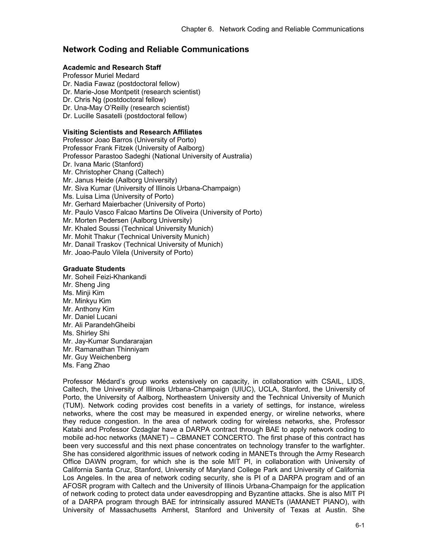# **Network Coding and Reliable Communications**

## **Academic and Research Staff**

Professor Muriel Medard Dr. Nadia Fawaz (postdoctoral fellow) Dr. Marie-Jose Montpetit (research scientist) Dr. Chris Ng (postdoctoral fellow) Dr. Una-May O'Reilly (research scientist) Dr. Lucille Sasatelli (postdoctoral fellow)

## **Visiting Scientists and Research Affiliates**

Professor Joao Barros (University of Porto) Professor Frank Fitzek (University of Aalborg) Professor Parastoo Sadeghi (National University of Australia) Dr. Ivana Maric (Stanford) Mr. Christopher Chang (Caltech) Mr. Janus Heide (Aalborg University) Mr. Siva Kumar (University of Illinois Urbana-Champaign) Ms. Luisa Lima (University of Porto) Mr. Gerhard Maierbacher (University of Porto) Mr. Paulo Vasco Falcao Martins De Oliveira (University of Porto) Mr. Morten Pedersen (Aalborg University) Mr. Khaled Soussi (Technical University Munich) Mr. Mohit Thakur (Technical University Munich) Mr. Danail Traskov (Technical University of Munich) Mr. Joao-Paulo Vilela (University of Porto) **Graduate Students** 

Mr. Soheil Feizi-Khankandi Mr. Sheng Jing Ms. Minji Kim Mr. Minkyu Kim Mr. Anthony Kim Mr. Daniel Lucani Mr. Ali ParandehGheibi Ms. Shirley Shi Mr. Jay-Kumar Sundararajan Mr. Ramanathan Thinniyam Mr. Guy Weichenberg Ms. Fang Zhao

Professor Médard's group works extensively on capacity, in collaboration with CSAIL, LIDS, Caltech, the University of Illinois Urbana-Champaign (UIUC), UCLA, Stanford, the University of Porto, the University of Aalborg, Northeastern University and the Technical University of Munich (TUM). Network coding provides cost benefits in a variety of settings, for instance, wireless networks, where the cost may be measured in expended energy, or wireline networks, where they reduce congestion. In the area of network coding for wireless networks, she, Professor Katabi and Professor Ozdaglar have a DARPA contract through BAE to apply network coding to mobile ad-hoc networks (MANET) – CBMANET CONCERTO. The first phase of this contract has been very successful and this next phase concentrates on technology transfer to the warfighter. She has considered algorithmic issues of network coding in MANETs through the Army Research Office DAWN program, for which she is the sole MIT PI, in collaboration with University of California Santa Cruz, Stanford, University of Maryland College Park and University of California Los Angeles. In the area of network coding security, she is PI of a DARPA program and of an AFOSR program with Caltech and the University of Illinois Urbana-Champaign for the application of network coding to protect data under eavesdropping and Byzantine attacks. She is also MIT PI of a DARPA program through BAE for intrinsically assured MANETs (IAMANET PIANO), with University of Massachusetts Amherst, Stanford and University of Texas at Austin. She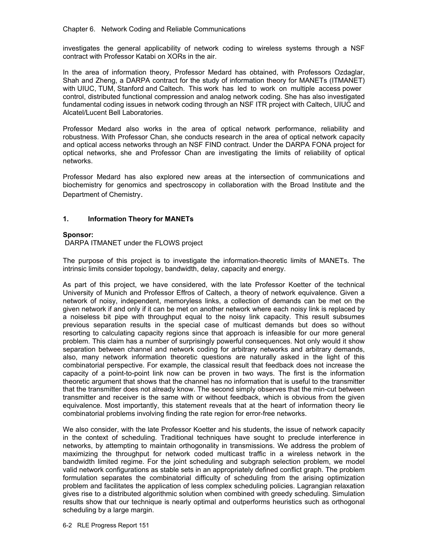investigates the general applicability of network coding to wireless systems through a NSF contract with Professor Katabi on XORs in the air.

In the area of information theory, Professor Medard has obtained, with Professors Ozdaglar, Shah and Zheng, a DARPA contract for the study of information theory for MANETs (ITMANET) with UIUC, TUM, Stanford and Caltech. This work has led to work on multiple access power control, distributed functional compression and analog network coding. She has also investigated fundamental coding issues in network coding through an NSF ITR project with Caltech, UIUC and Alcatel/Lucent Bell Laboratories.

Professor Medard also works in the area of optical network performance, reliability and robustness. With Professor Chan, she conducts research in the area of optical network capacity and optical access networks through an NSF FIND contract. Under the DARPA FONA project for optical networks, she and Professor Chan are investigating the limits of reliability of optical networks.

Professor Medard has also explored new areas at the intersection of communications and biochemistry for genomics and spectroscopy in collaboration with the Broad Institute and the Department of Chemistry.

## **1. Information Theory for MANETs**

## **Sponsor:**

DARPA ITMANET under the FLOWS project

The purpose of this project is to investigate the information-theoretic limits of MANETs. The intrinsic limits consider topology, bandwidth, delay, capacity and energy.

As part of this project, we have considered, with the late Professor Koetter of the technical University of Munich and Professor Effros of Caltech, a theory of network equivalence. Given a network of noisy, independent, memoryless links, a collection of demands can be met on the given network if and only if it can be met on another network where each noisy link is replaced by a noiseless bit pipe with throughput equal to the noisy link capacity. This result subsumes previous separation results in the special case of multicast demands but does so without resorting to calculating capacity regions since that approach is infeasible for our more general problem. This claim has a number of surprisingly powerful consequences. Not only would it show separation between channel and network coding for arbitrary networks and arbitrary demands, also, many network information theoretic questions are naturally asked in the light of this combinatorial perspective. For example, the classical result that feedback does not increase the capacity of a point-to-point link now can be proven in two ways. The first is the information theoretic argument that shows that the channel has no information that is useful to the transmitter that the transmitter does not already know. The second simply observes that the min-cut between transmitter and receiver is the same with or without feedback, which is obvious from the given equivalence. Most importantly, this statement reveals that at the heart of information theory lie combinatorial problems involving finding the rate region for error-free networks.

We also consider, with the late Professor Koetter and his students, the issue of network capacity in the context of scheduling. Traditional techniques have sought to preclude interference in networks, by attempting to maintain orthogonality in transmissions. We address the problem of maximizing the throughput for network coded multicast traffic in a wireless network in the bandwidth limited regime. For the joint scheduling and subgraph selection problem, we model valid network configurations as stable sets in an appropriately defined conflict graph. The problem formulation separates the combinatorial difficulty of scheduling from the arising optimization problem and facilitates the application of less complex scheduling policies. Lagrangian relaxation gives rise to a distributed algorithmic solution when combined with greedy scheduling. Simulation results show that our technique is nearly optimal and outperforms heuristics such as orthogonal scheduling by a large margin.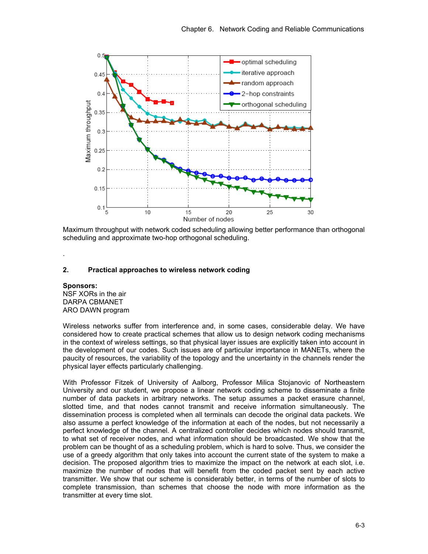

Maximum throughput with network coded scheduling allowing better performance than orthogonal scheduling and approximate two-hop orthogonal scheduling.

## **2. Practical approaches to wireless network coding**

## **Sponsors:**

.

NSF XORs in the air DARPA CBMANET ARO DAWN program

Wireless networks suffer from interference and, in some cases, considerable delay. We have considered how to create practical schemes that allow us to design network coding mechanisms in the context of wireless settings, so that physical layer issues are explicitly taken into account in the development of our codes. Such issues are of particular importance in MANETs, where the paucity of resources, the variability of the topology and the uncertainty in the channels render the physical layer effects particularly challenging.

With Professor Fitzek of University of Aalborg, Professor Milica Stojanovic of Northeastern University and our student, we propose a linear network coding scheme to disseminate a finite number of data packets in arbitrary networks. The setup assumes a packet erasure channel, slotted time, and that nodes cannot transmit and receive information simultaneously. The dissemination process is completed when all terminals can decode the original data packets. We also assume a perfect knowledge of the information at each of the nodes, but not necessarily a perfect knowledge of the channel. A centralized controller decides which nodes should transmit, to what set of receiver nodes, and what information should be broadcasted. We show that the problem can be thought of as a scheduling problem, which is hard to solve. Thus, we consider the use of a greedy algorithm that only takes into account the current state of the system to make a decision. The proposed algorithm tries to maximize the impact on the network at each slot, i.e. maximize the number of nodes that will benefit from the coded packet sent by each active transmitter. We show that our scheme is considerably better, in terms of the number of slots to complete transmission, than schemes that choose the node with more information as the transmitter at every time slot.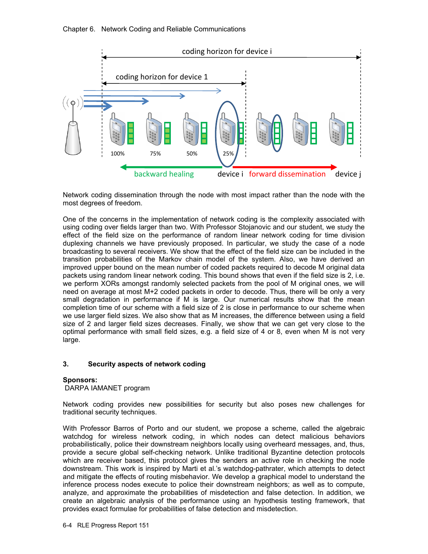

Network coding dissemination through the node with most impact rather than the node with the most degrees of freedom.

One of the concerns in the implementation of network coding is the complexity associated with using coding over fields larger than two. With Professor Stojanovic and our student, we study the effect of the field size on the performance of random linear network coding for time division duplexing channels we have previously proposed. In particular, we study the case of a node broadcasting to several receivers. We show that the effect of the field size can be included in the transition probabilities of the Markov chain model of the system. Also, we have derived an improved upper bound on the mean number of coded packets required to decode M original data packets using random linear network coding. This bound shows that even if the field size is 2, i.e. we perform XORs amongst randomly selected packets from the pool of M original ones, we will need on average at most M+2 coded packets in order to decode. Thus, there will be only a very small degradation in performance if M is large. Our numerical results show that the mean completion time of our scheme with a field size of 2 is close in performance to our scheme when we use larger field sizes. We also show that as M increases, the difference between using a field size of 2 and larger field sizes decreases. Finally, we show that we can get very close to the optimal performance with small field sizes, e.g. a field size of 4 or 8, even when M is not very large.

## **3. Security aspects of network coding**

#### **Sponsors:**

DARPA IAMANET program

Network coding provides new possibilities for security but also poses new challenges for traditional security techniques.

With Professor Barros of Porto and our student, we propose a scheme, called the algebraic watchdog for wireless network coding, in which nodes can detect malicious behaviors probabilistically, police their downstream neighbors locally using overheard messages, and, thus, provide a secure global self-checking network. Unlike traditional Byzantine detection protocols which are receiver based, this protocol gives the senders an active role in checking the node downstream. This work is inspired by Marti et al.'s watchdog-pathrater, which attempts to detect and mitigate the effects of routing misbehavior. We develop a graphical model to understand the inference process nodes execute to police their downstream neighbors; as well as to compute, analyze, and approximate the probabilities of misdetection and false detection. In addition, we create an algebraic analysis of the performance using an hypothesis testing framework, that provides exact formulae for probabilities of false detection and misdetection.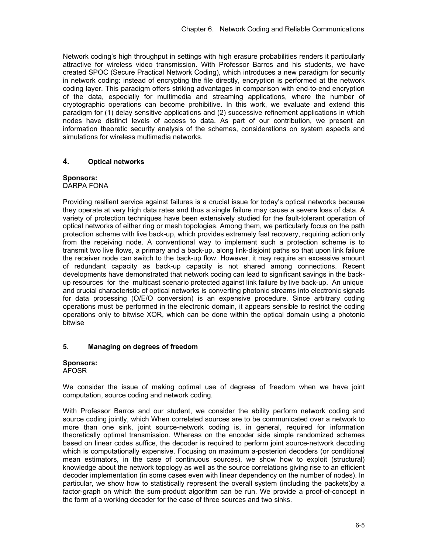Network coding's high throughput in settings with high erasure probabilities renders it particularly attractive for wireless video transmission. With Professor Barros and his students, we have created SPOC (Secure Practical Network Coding), which introduces a new paradigm for security in network coding: instead of encrypting the file directly, encryption is performed at the network coding layer. This paradigm offers striking advantages in comparison with end-to-end encryption of the data, especially for multimedia and streaming applications, where the number of cryptographic operations can become prohibitive. In this work, we evaluate and extend this paradigm for (1) delay sensitive applications and (2) successive refinement applications in which nodes have distinct levels of access to data. As part of our contribution, we present an information theoretic security analysis of the schemes, considerations on system aspects and simulations for wireless multimedia networks.

## **4. Optical networks**

#### **Sponsors:** DARPA FONA

Providing resilient service against failures is a crucial issue for today's optical networks because they operate at very high data rates and thus a single failure may cause a severe loss of data. A variety of protection techniques have been extensively studied for the fault-tolerant operation of optical networks of either ring or mesh topologies. Among them, we particularly focus on the path protection scheme with live back-up, which provides extremely fast recovery, requiring action only from the receiving node. A conventional way to implement such a protection scheme is to transmit two live flows, a primary and a back-up, along link-disjoint paths so that upon link failure the receiver node can switch to the back-up flow. However, it may require an excessive amount of redundant capacity as back-up capacity is not shared among connections. Recent developments have demonstrated that network coding can lead to significant savings in the backup resources for the multicast scenario protected against link failure by live back-up. An unique and crucial characteristic of optical networks is converting photonic streams into electronic signals for data processing (O/E/O conversion) is an expensive procedure. Since arbitrary coding operations must be performed in the electronic domain, it appears sensible to restrict the coding operations only to bitwise XOR, which can be done within the optical domain using a photonic bitwise

## **5. Managing on degrees of freedom**

## **Sponsors:**

AFOSR

We consider the issue of making optimal use of degrees of freedom when we have joint computation, source coding and network coding.

With Professor Barros and our student, we consider the ability perform network coding and source coding jointly, which When correlated sources are to be communicated over a network to more than one sink, joint source-network coding is, in general, required for information theoretically optimal transmission. Whereas on the encoder side simple randomized schemes based on linear codes suffice, the decoder is required to perform joint source-network decoding which is computationally expensive. Focusing on maximum a-posteriori decoders (or conditional mean estimators, in the case of continuous sources), we show how to exploit (structural) knowledge about the network topology as well as the source correlations giving rise to an efficient decoder implementation (in some cases even with linear dependency on the number of nodes). In particular, we show how to statistically represent the overall system (including the packets)by a factor-graph on which the sum-product algorithm can be run. We provide a proof-of-concept in the form of a working decoder for the case of three sources and two sinks.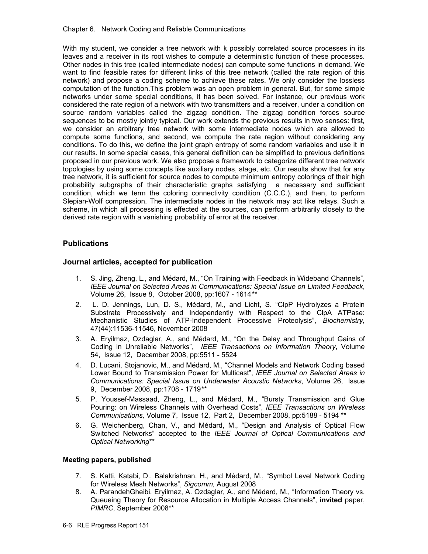With my student, we consider a tree network with k possibly correlated source processes in its leaves and a receiver in its root wishes to compute a deterministic function of these processes. Other nodes in this tree (called intermediate nodes) can compute some functions in demand. We want to find feasible rates for different links of this tree network (called the rate region of this network) and propose a coding scheme to achieve these rates. We only consider the lossless computation of the function.This problem was an open problem in general. But, for some simple networks under some special conditions, it has been solved. For instance, our previous work considered the rate region of a network with two transmitters and a receiver, under a condition on source random variables called the zigzag condition. The zigzag condition forces source sequences to be mostly jointly typical. Our work extends the previous results in two senses: first, we consider an arbitrary tree network with some intermediate nodes which are allowed to compute some functions, and second, we compute the rate region without considering any conditions. To do this, we define the joint graph entropy of some random variables and use it in our results. In some special cases, this general definition can be simplified to previous definitions proposed in our previous work. We also propose a framework to categorize different tree network topologies by using some concepts like auxiliary nodes, stage, etc. Our results show that for any tree network, it is sufficient for source nodes to compute minimum entropy colorings of their high probability subgraphs of their characteristic graphs satisfying a necessary and sufficient condition, which we term the coloring connectivity condition (C.C.C.), and then, to perform Slepian-Wolf compression. The intermediate nodes in the network may act like relays. Such a scheme, in which all processing is effected at the sources, can perform arbitrarily closely to the derived rate region with a vanishing probability of error at the receiver.

## **Publications**

## **Journal articles, accepted for publication**

- 1. S. Jing, Zheng, L., and Médard, M., "On Training with Feedback in Wideband Channels", *IEEE Journal on Selected Areas in Communications: Special Issue on Limited Feedback*, Volume 26, Issue 8, October 2008, pp:1607 - 1614*\*\**
- 2. L. D. Jennings, Lun, D. S., Médard, M., and Licht, S. "ClpP Hydrolyzes a Protein Substrate Processively and Independently with Respect to the ClpA ATPase: Mechanistic Studies of ATP-Independent Processive Proteolysis", *Biochemistry,*  47(44):11536-11546, November 2008
- 3. A. Eryilmaz, Ozdaglar, A., and Médard, M., "On the Delay and Throughput Gains of Coding in Unreliable Networks", *IEEE Transactions on Information Theory*, Volume 54, Issue 12, December 2008, pp:5511 - 5524
- 4. D. Lucani, Stojanovic, M., and Médard, M., "Channel Models and Network Coding based Lower Bound to Transmission Power for Multicast", *IEEE Journal on Selected Areas in Communications: Special Issue on Underwater Acoustic Networks*, Volume 26, Issue 9, December 2008, pp:1708 - 1719*\*\**
- 5. P. Youssef-Massaad, Zheng, L., and Médard, M., "Bursty Transmission and Glue Pouring: on Wireless Channels with Overhead Costs", *IEEE Transactions on Wireless Communications,* Volume 7, Issue 12, Part 2, December 2008, pp:5188 - 5194 \*\*
- 6. G. Weichenberg, Chan, V., and Médard, M., "Design and Analysis of Optical Flow Switched Networks" accepted to the *IEEE Journal of Optical Communications and Optical Networking*\*\*

## **Meeting papers, published**

- 7. S. Katti, Katabi, D., Balakrishnan, H., and Médard, M., "Symbol Level Network Coding for Wireless Mesh Networks", *Sigcomm,* August 2008
- 8. A. ParandehGheibi, Eryilmaz, A. Ozdaglar, A., and Médard, M., "Information Theory vs. Queueing Theory for Resource Allocation in Multiple Access Channels", **invited** paper, *PIMRC*, September 2008\*\*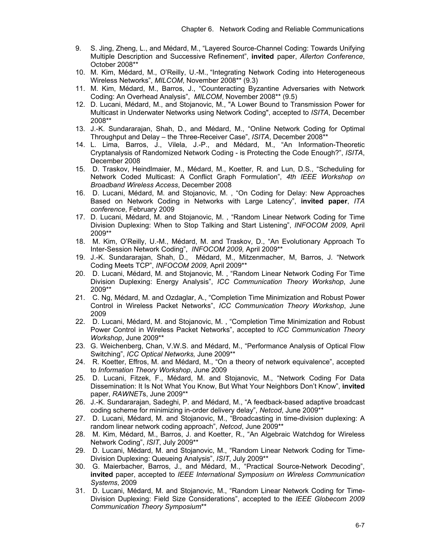- 9. S. Jing, Zheng, L., and Médard, M., "Layered Source-Channel Coding: Towards Unifying Multiple Description and Successive Refinement", **invited** paper, *Allerton Conference*, October 2008\*\*
- 10. M. Kim, Médard, M., O'Reilly, U.-M., "Integrating Network Coding into Heterogeneous Wireless Networks", *MILCOM*, November 2008\*\* (9.3)
- 11. M. Kim, Médard, M., Barros, J., "Counteracting Byzantine Adversaries with Network Coding: An Overhead Analysis", *MILCOM*, November 2008\*\* (9.5)
- 12. D. Lucani, Médard, M., and Stojanovic, M., "A Lower Bound to Transmission Power for Multicast in Underwater Networks using Network Coding", accepted to *ISITA*, December 2008\*\*
- 13. J.-K. Sundararajan, Shah, D., and Médard, M., "Online Network Coding for Optimal Throughput and Delay – the Three-Receiver Case", *ISITA*, December 2008\*\*
- 14. L. Lima, Barros, J., Vilela, J.-P., and Médard, M., "An Information-Theoretic Cryptanalysis of Randomized Network Coding - is Protecting the Code Enough?", *ISITA*, December 2008
- 15. D. Traskov, Heindlmaier, M., Médard, M., Koetter, R. and Lun, D.S., "Scheduling for Network Coded Multicast: A Conflict Graph Formulation", *4th IEEE Workshop on Broadband Wireless Access*, December 2008
- 16. D. Lucani, Médard, M. and Stojanovic, M. , "On Coding for Delay: New Approaches Based on Network Coding in Networks with Large Latency", **invited paper**, *ITA conference*, February 2009
- 17. D. Lucani, Médard, M. and Stojanovic, M. , "Random Linear Network Coding for Time Division Duplexing: When to Stop Talking and Start Listening", *INFOCOM 2009,* April 2009\*\*
- 18. M. Kim, O'Reilly, U.-M., Médard, M. and Traskov, D., "An Evolutionary Approach To Inter-Session Network Coding", *INFOCOM 2009,* April 2009\*\*
- 19. J.-K. Sundararajan, Shah, D., Médard, M., Mitzenmacher, M, Barros, J. "Network Coding Meets TCP", *INFOCOM 2009,* April 2009\*\*
- 20. D. Lucani, Médard, M. and Stojanovic, M. , "Random Linear Network Coding For Time Division Duplexing: Energy Analysis", *ICC Communication Theory Workshop*, June 2009\*\*
- 21. C. Ng, Médard, M. and Ozdaglar, A., "Completion Time Minimization and Robust Power Control in Wireless Packet Networks", *ICC Communication Theory Workshop*, June 2009
- 22. D. Lucani, Médard, M. and Stojanovic, M. , "Completion Time Minimization and Robust Power Control in Wireless Packet Networks", accepted to *ICC Communication Theory Workshop*, June 2009\*\*
- 23. G. Weichenberg, Chan, V.W.S. and Médard, M., "Performance Analysis of Optical Flow Switching", *ICC Optical Networks,* June 2009\*\*
- 24. R. Koetter, Effros, M. and Médard, M., "On a theory of network equivalence", accepted to *Information Theory Workshop*, June 2009
- 25. D. Lucani, Fitzek, F., Médard, M. and Stojanovic, M., "Network Coding For Data Dissemination: It Is Not What You Know, But What Your Neighbors Don't Know", **invited** paper, *RAWNET*s, June 2009\*\*
- 26. J.-K. Sundararajan, Sadeghi, P. and Médard, M., "A feedback-based adaptive broadcast coding scheme for minimizing in-order delivery delay", *Netcod*, June 2009\*\*
- 27. D. Lucani, Médard, M. and Stojanovic, M., "Broadcasting in time-division duplexing: A random linear network coding approach", *Netcod*, June 2009\*\*
- 28. M. Kim, Médard, M., Barros, J. and Koetter, R., "An Algebraic Watchdog for Wireless Network Coding", *ISIT*, July 2009\*\*
- 29. D. Lucani, Médard, M. and Stojanovic, M., "Random Linear Network Coding for Time-Division Duplexing: Queueing Analysis", *ISIT*, July 2009\*\*
- 30. G. Maierbacher, Barros, J., and Médard, M., "Practical Source-Network Decoding", **invited** paper, accepted to *IEEE International Symposium on Wireless Communication Systems*, 2009
- 31. D. Lucani, Médard, M. and Stojanovic, M., "Random Linear Network Coding for Time-Division Duplexing: Field Size Considerations", accepted to the *IEEE Globecom 2009 Communication Theory Symposium*\*\*